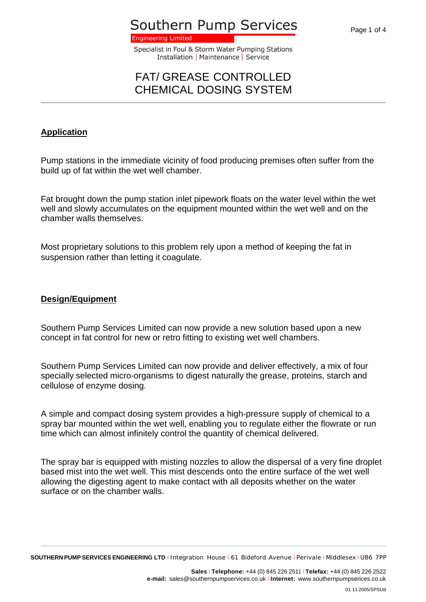**Southern Pump Services** 

**Engineering Limited** 

Specialist in Foul & Storm Water Pumping Stations Installation | Maintenance | Service

### FAT/ GREASE CONTROLLED CHEMICAL DOSING SYSTEM

#### **Application**

Pump stations in the immediate vicinity of food producing premises often suffer from the build up of fat within the wet well chamber.

Fat brought down the pump station inlet pipework floats on the water level within the wet well and slowly accumulates on the equipment mounted within the wet well and on the chamber walls themselves.

Most proprietary solutions to this problem rely upon a method of keeping the fat in suspension rather than letting it coagulate.

#### **Design/Equipment**

Southern Pump Services Limited can now provide a new solution based upon a new concept in fat control for new or retro fitting to existing wet well chambers.

Southern Pump Services Limited can now provide and deliver effectively, a mix of four specially selected micro-organisms to digest naturally the grease, proteins, starch and cellulose of enzyme dosing.

A simple and compact dosing system provides a high-pressure supply of chemical to a spray bar mounted within the wet well, enabling you to regulate either the flowrate or run time which can almost infinitely control the quantity of chemical delivered.

The spray bar is equipped with misting nozzles to allow the dispersal of a very fine droplet based mist into the wet well. This mist descends onto the entire surface of the wet well allowing the digesting agent to make contact with all deposits whether on the water surface or on the chamber walls.

**SOUTHERN PUMP SERVICES ENGINEERING LTD** <sup>I</sup> Integration House <sup>I</sup> 61 Bideford Avenue <sup>I</sup> Perivale <sup>I</sup> Middlesex <sup>I</sup> UB6 7PP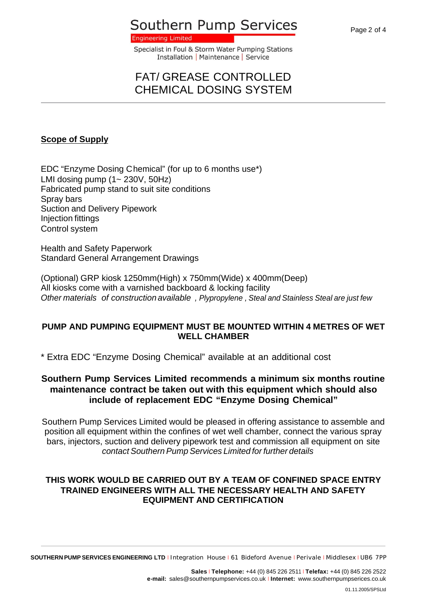## **Southern Pump Services**

**Engineering Limited** 

Specialist in Foul & Storm Water Pumping Stations Installation | Maintenance | Service

## FAT/ GREASE CONTROLLED CHEMICAL DOSING SYSTEM

#### **Scope of Supply**

EDC "Enzyme Dosing Chemical" (for up to 6 months use\*) LMI dosing pump  $(1 - 230V, 50Hz)$ Fabricated pump stand to suit site conditions Spray bars Suction and Delivery Pipework Injection fittings Control system

Health and Safety Paperwork Standard General Arrangement Drawings

(Optional) GRP kiosk 1250mm(High) x 750mm(Wide) x 400mm(Deep) All kiosks come with a varnished backboard & locking facility *Other materials of construction available , Plypropylene , Steal and Stainless Steal are just few* 

#### **PUMP AND PUMPING EQUIPMENT MUST BE MOUNTED WITHIN 4 METRES OF WET WELL CHAMBER**

\* Extra EDC "Enzyme Dosing Chemical" available at an additional cost

#### **Southern Pump Services Limited recommends a minimum six months routine maintenance contract be taken out with this equipment which should also include of replacement EDC "Enzyme Dosing Chemical"**

Southern Pump Services Limited would be pleased in offering assistance to assemble and position all equipment within the confines of wet well chamber, connect the various spray bars, injectors, suction and delivery pipework test and commission all equipment on site *contact Southern Pump Services Limited for further details* 

#### **THIS WORK WOULD BE CARRIED OUT BY A TEAM OF CONFINED SPACE ENTRY TRAINED ENGINEERS WITH ALL THE NECESSARY HEALTH AND SAFETY EQUIPMENT AND CERTIFICATION**

**SOUTHERN PUMP SERVICES ENGINEERING LTD** <sup>I</sup> Integration House <sup>I</sup> 61 Bideford Avenue <sup>I</sup> Perivale <sup>I</sup> Middlesex <sup>I</sup> UB6 7PP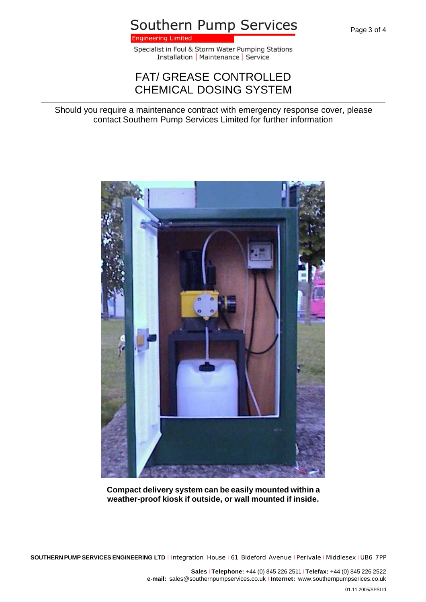Page 3 of 4

## Southern Pump Services

**Engineering Limited** 

Specialist in Foul & Storm Water Pumping Stations Installation | Maintenance | Service

## FAT/ GREASE CONTROLLED CHEMICAL DOSING SYSTEM

Should you require a maintenance contract with emergency response cover, please contact Southern Pump Services Limited for further information



**Compact delivery system can be easily mounted within a weather-proof kiosk if outside, or wall mounted if inside.**

**SOUTHERN PUMP SERVICES ENGINEERING LTD** <sup>I</sup> Integration House <sup>I</sup> 61 Bideford Avenue <sup>I</sup> Perivale <sup>I</sup> Middlesex <sup>I</sup> UB6 7PP